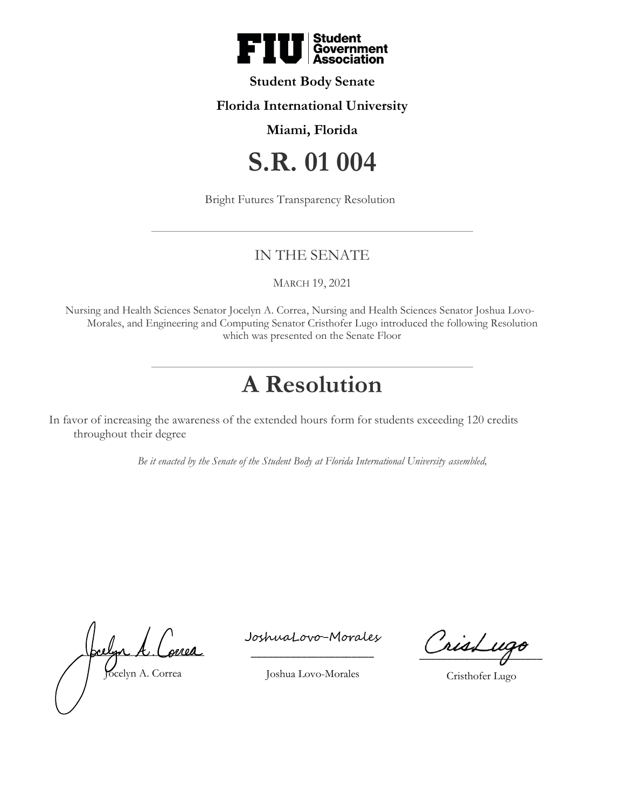

## **Student Body Senate**

## **Florida International University**

### **Miami, Florida**

# **S.R. 01 004**

Bright Futures Transparency Resolution

## IN THE SENATE

MARCH 19, 2021

Nursing and Health Sciences Senator Jocelyn A. Correa, Nursing and Health Sciences Senator Joshua Lovo-Morales, and Engineering and Computing Senator Cristhofer Lugo introduced the following Resolution which was presented on the Senate Floor

## **A Resolution**

In favor of increasing the awareness of the extended hours form for students exceeding 120 credits throughout their degree

*Be it enacted by the Senate of the Student Body at Florida International University assembled,*

<u>Joclyn A. Correa</u> Jocelyn A. Correa

\_\_\_\_\_\_\_\_\_\_\_\_\_\_\_\_\_\_\_\_\_\_ JoshuaLovo-Morales

CrisLugo

Cristhofer Lugo

Joshua Lovo-Morales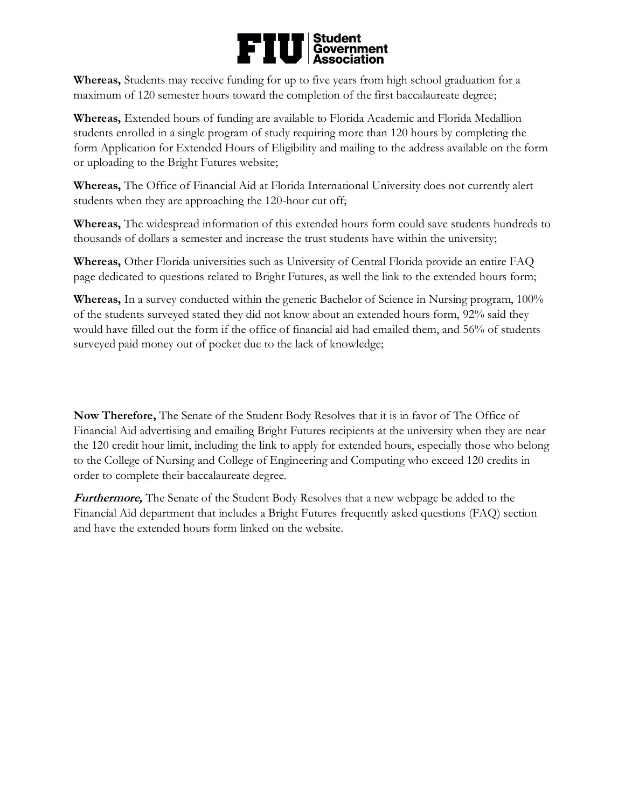## Student<br>Government<br>Association FII

**Whereas,** Students may receive funding for up to five years from high school graduation for a maximum of 120 semester hours toward the completion of the first baccalaureate degree;

**Whereas,** Extended hours of funding are available to Florida Academic and Florida Medallion students enrolled in a single program of study requiring more than 120 hours by completing the form Application for Extended Hours of Eligibility and mailing to the address available on the form or uploading to the Bright Futures website;

**Whereas,** The Office of Financial Aid at Florida International University does not currently alert students when they are approaching the 120-hour cut off;

**Whereas,** The widespread information of this extended hours form could save students hundreds to thousands of dollars a semester and increase the trust students have within the university;

**Whereas,** Other Florida universities such as University of Central Florida provide an entire FAQ page dedicated to questions related to Bright Futures, as well the link to the extended hours form;

**Whereas,** In a survey conducted within the generic Bachelor of Science in Nursing program, 100% of the students surveyed stated they did not know about an extended hours form, 92% said they would have filled out the form if the office of financial aid had emailed them, and 56% of students surveyed paid money out of pocket due to the lack of knowledge;

**Now Therefore,** The Senate of the Student Body Resolves that it is in favor of The Office of Financial Aid advertising and emailing Bright Futures recipients at the university when they are near the 120 credit hour limit, including the link to apply for extended hours, especially those who belong to the College of Nursing and College of Engineering and Computing who exceed 120 credits in order to complete their baccalaureate degree.

**Furthermore,** The Senate of the Student Body Resolves that a new webpage be added to the Financial Aid department that includes a Bright Futures frequently asked questions (FAQ) section and have the extended hours form linked on the website.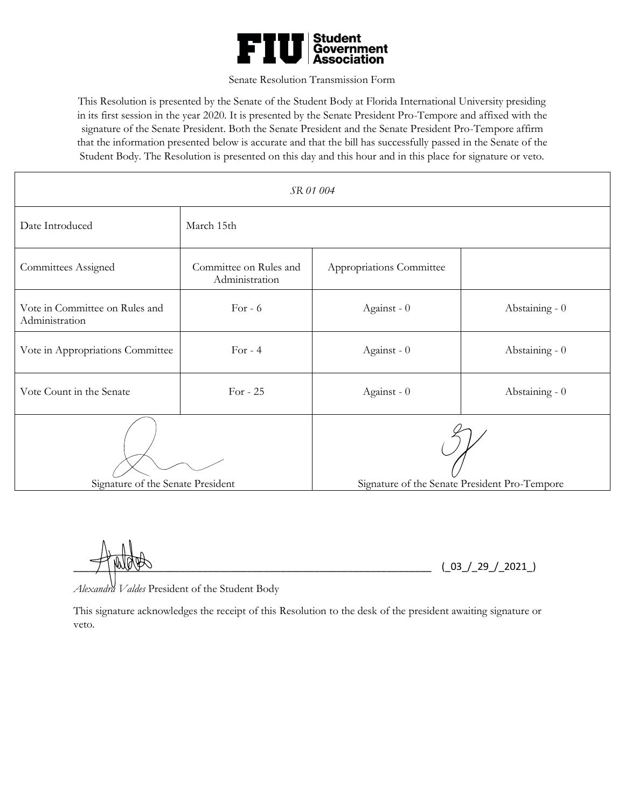

#### Senate Resolution Transmission Form

This Resolution is presented by the Senate of the Student Body at Florida International University presiding in its first session in the year 2020. It is presented by the Senate President Pro-Tempore and affixed with the signature of the Senate President. Both the Senate President and the Senate President Pro-Tempore affirm that the information presented below is accurate and that the bill has successfully passed in the Senate of the Student Body. The Resolution is presented on this day and this hour and in this place for signature or veto.

| SR 01 004                                        |                                          |                                               |                |
|--------------------------------------------------|------------------------------------------|-----------------------------------------------|----------------|
| Date Introduced                                  | March 15th                               |                                               |                |
| Committees Assigned                              | Committee on Rules and<br>Administration | Appropriations Committee                      |                |
| Vote in Committee on Rules and<br>Administration | For $-6$                                 | Against - 0                                   | Abstaining - 0 |
| Vote in Appropriations Committee                 | For $-4$                                 | Against - 0                                   | Abstaining - 0 |
| Vote Count in the Senate                         | For - $25$                               | Against - 0                                   | Abstaining - 0 |
| Signature of the Senate President                |                                          | Signature of the Senate President Pro-Tempore |                |

 $(03 / 29 / 2021)$ 

*Alexandra Valdes* President of the Student Body

This signature acknowledges the receipt of this Resolution to the desk of the president awaiting signature or veto.